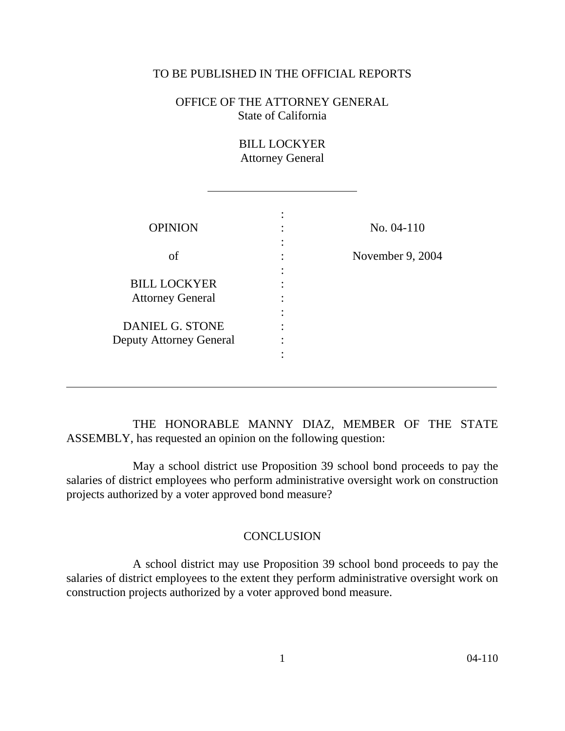## TO BE PUBLISHED IN THE OFFICIAL REPORTS

OFFICE OF THE ATTORNEY GENERAL State of California

> BILL LOCKYER Attorney General

| <b>OPINION</b>                 | No. 04-110     |
|--------------------------------|----------------|
|                                |                |
| of                             | November 9, 20 |
|                                |                |
| <b>BILL LOCKYER</b>            |                |
| <b>Attorney General</b>        |                |
|                                |                |
| DANIEL G. STONE                |                |
| <b>Deputy Attorney General</b> |                |
|                                |                |

 $\overline{a}$ 

l

THE HONORABLE MANNY DIAZ, MEMBER OF THE STATE ASSEMBLY, has requested an opinion on the following question:

May a school district use Proposition 39 school bond proceeds to pay the salaries of district employees who perform administrative oversight work on construction projects authorized by a voter approved bond measure?

## **CONCLUSION**

A school district may use Proposition 39 school bond proceeds to pay the salaries of district employees to the extent they perform administrative oversight work on construction projects authorized by a voter approved bond measure.

9, 2004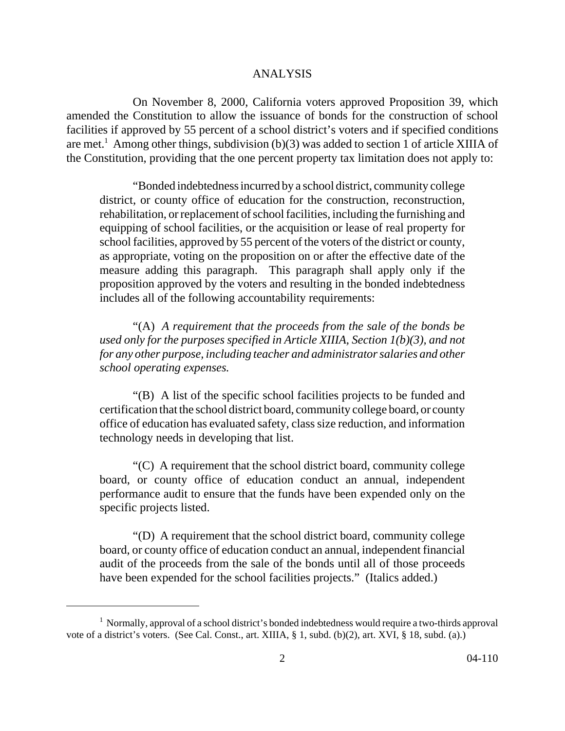## ANALYSIS

On November 8, 2000, California voters approved Proposition 39, which amended the Constitution to allow the issuance of bonds for the construction of school facilities if approved by 55 percent of a school district's voters and if specified conditions are met.<sup>1</sup> Among other things, subdivision (b)(3) was added to section 1 of article XIIIA of the Constitution, providing that the one percent property tax limitation does not apply to:

"Bonded indebtedness incurred by a school district, community college district, or county office of education for the construction, reconstruction, rehabilitation, or replacement of school facilities, including the furnishing and equipping of school facilities, or the acquisition or lease of real property for school facilities, approved by 55 percent of the voters of the district or county, as appropriate, voting on the proposition on or after the effective date of the measure adding this paragraph. This paragraph shall apply only if the proposition approved by the voters and resulting in the bonded indebtedness includes all of the following accountability requirements:

"(A) *A requirement that the proceeds from the sale of the bonds be used only for the purposes specified in Article XIIIA, Section 1(b)(3), and not for any other purpose, including teacher and administrator salaries and other school operating expenses.*

"(B) A list of the specific school facilities projects to be funded and certification that the school district board, community college board, or county office of education has evaluated safety, class size reduction, and information technology needs in developing that list.

"(C) A requirement that the school district board, community college board, or county office of education conduct an annual, independent performance audit to ensure that the funds have been expended only on the specific projects listed.

"(D) A requirement that the school district board, community college board, or county office of education conduct an annual, independent financial audit of the proceeds from the sale of the bonds until all of those proceeds have been expended for the school facilities projects." (Italics added.)

 $<sup>1</sup>$  Normally, approval of a school district's bonded indebtedness would require a two-thirds approval</sup> vote of a district's voters. (See Cal. Const., art. XIIIA, § 1, subd. (b)(2), art. XVI, § 18, subd. (a).)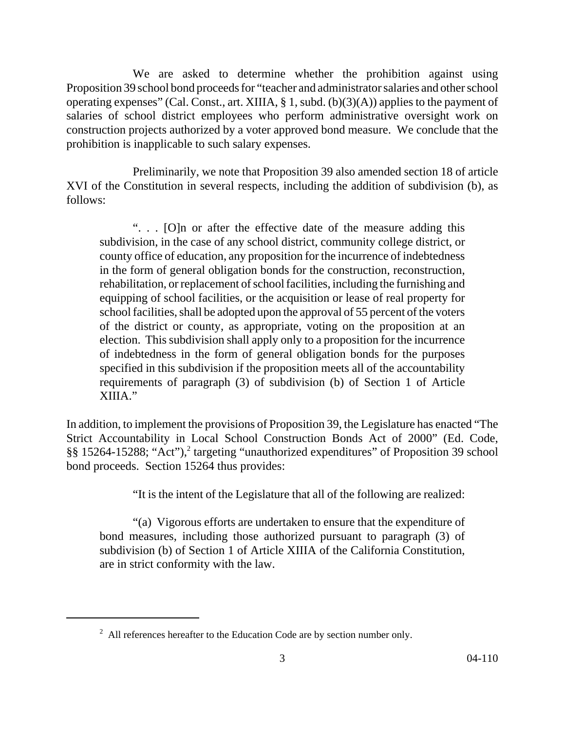We are asked to determine whether the prohibition against using Proposition 39 school bond proceeds for "teacher and administrator salaries and other school operating expenses" (Cal. Const., art. XIIIA, § 1, subd. (b)(3)(A)) applies to the payment of salaries of school district employees who perform administrative oversight work on construction projects authorized by a voter approved bond measure. We conclude that the prohibition is inapplicable to such salary expenses.

Preliminarily, we note that Proposition 39 also amended section 18 of article XVI of the Constitution in several respects, including the addition of subdivision (b), as follows:

". . . [O]n or after the effective date of the measure adding this subdivision, in the case of any school district, community college district, or county office of education, any proposition for the incurrence of indebtedness in the form of general obligation bonds for the construction, reconstruction, rehabilitation, or replacement of school facilities, including the furnishing and equipping of school facilities, or the acquisition or lease of real property for school facilities, shall be adopted upon the approval of 55 percent of the voters of the district or county, as appropriate, voting on the proposition at an election. This subdivision shall apply only to a proposition for the incurrence of indebtedness in the form of general obligation bonds for the purposes specified in this subdivision if the proposition meets all of the accountability requirements of paragraph (3) of subdivision (b) of Section 1 of Article XIIIA."

In addition, to implement the provisions of Proposition 39, the Legislature has enacted "The Strict Accountability in Local School Construction Bonds Act of 2000" (Ed. Code, §§ 15264-15288; "Act"),<sup>2</sup> targeting "unauthorized expenditures" of Proposition 39 school bond proceeds. Section 15264 thus provides:

"It is the intent of the Legislature that all of the following are realized:

"(a) Vigorous efforts are undertaken to ensure that the expenditure of bond measures, including those authorized pursuant to paragraph (3) of subdivision (b) of Section 1 of Article XIIIA of the California Constitution, are in strict conformity with the law.

 $2$  All references hereafter to the Education Code are by section number only.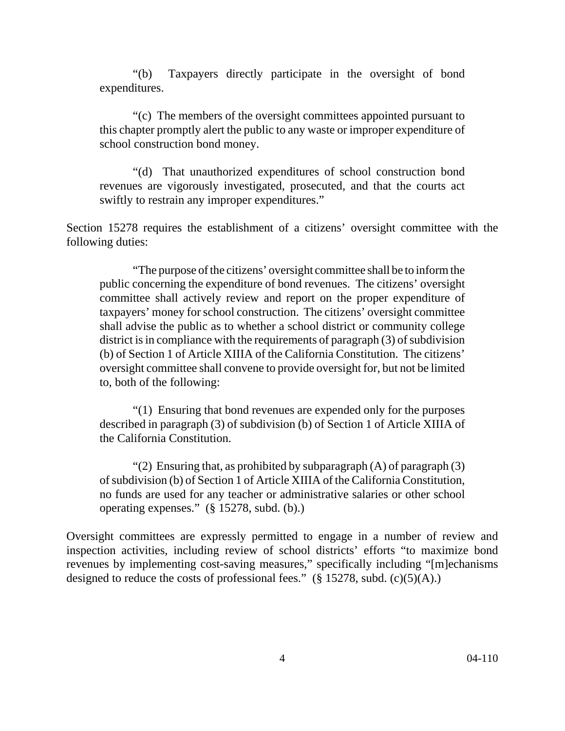"(b) Taxpayers directly participate in the oversight of bond expenditures.

"(c) The members of the oversight committees appointed pursuant to this chapter promptly alert the public to any waste or improper expenditure of school construction bond money.

"(d) That unauthorized expenditures of school construction bond revenues are vigorously investigated, prosecuted, and that the courts act swiftly to restrain any improper expenditures."

Section 15278 requires the establishment of a citizens' oversight committee with the following duties:

"The purpose of the citizens' oversight committee shall be to inform the public concerning the expenditure of bond revenues. The citizens' oversight committee shall actively review and report on the proper expenditure of taxpayers' money for school construction. The citizens' oversight committee shall advise the public as to whether a school district or community college district is in compliance with the requirements of paragraph (3) of subdivision (b) of Section 1 of Article XIIIA of the California Constitution. The citizens' oversight committee shall convene to provide oversight for, but not be limited to, both of the following:

"(1) Ensuring that bond revenues are expended only for the purposes described in paragraph (3) of subdivision (b) of Section 1 of Article XIIIA of the California Constitution.

"(2) Ensuring that, as prohibited by subparagraph  $(A)$  of paragraph  $(3)$ of subdivision (b) of Section 1 of Article XIIIA of the California Constitution, no funds are used for any teacher or administrative salaries or other school operating expenses." (§ 15278, subd. (b).)

Oversight committees are expressly permitted to engage in a number of review and inspection activities, including review of school districts' efforts "to maximize bond revenues by implementing cost-saving measures," specifically including "[m]echanisms designed to reduce the costs of professional fees."  $(\S 15278, \text{subd. (c)(5)(A)}$ .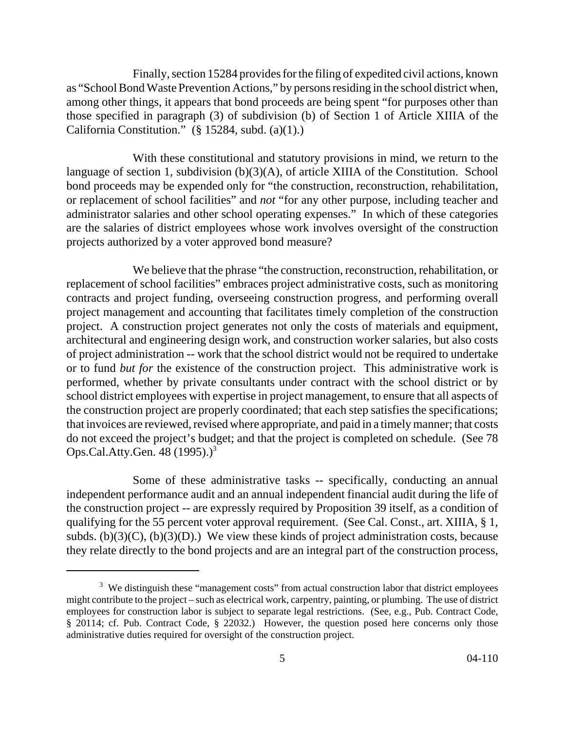Finally, section 15284 provides for the filing of expedited civil actions, known as "School Bond Waste Prevention Actions," by persons residing in the school district when, among other things, it appears that bond proceeds are being spent "for purposes other than those specified in paragraph (3) of subdivision (b) of Section 1 of Article XIIIA of the California Constitution." (§ 15284, subd. (a)(1).)

With these constitutional and statutory provisions in mind, we return to the language of section 1, subdivision (b)(3)(A), of article XIIIA of the Constitution. School bond proceeds may be expended only for "the construction, reconstruction, rehabilitation, or replacement of school facilities" and *not* "for any other purpose, including teacher and administrator salaries and other school operating expenses." In which of these categories are the salaries of district employees whose work involves oversight of the construction projects authorized by a voter approved bond measure?

We believe that the phrase "the construction, reconstruction, rehabilitation, or replacement of school facilities" embraces project administrative costs, such as monitoring contracts and project funding, overseeing construction progress, and performing overall project management and accounting that facilitates timely completion of the construction project. A construction project generates not only the costs of materials and equipment, architectural and engineering design work, and construction worker salaries, but also costs of project administration -- work that the school district would not be required to undertake or to fund *but for* the existence of the construction project. This administrative work is performed, whether by private consultants under contract with the school district or by school district employees with expertise in project management, to ensure that all aspects of the construction project are properly coordinated; that each step satisfies the specifications; that invoices are reviewed, revised where appropriate, and paid in a timely manner; that costs do not exceed the project's budget; and that the project is completed on schedule. (See 78 Ops.Cal.Atty.Gen.  $48$  (1995).)<sup>3</sup>

 Some of these administrative tasks -- specifically, conducting an annual independent performance audit and an annual independent financial audit during the life of the construction project -- are expressly required by Proposition 39 itself, as a condition of qualifying for the 55 percent voter approval requirement. (See Cal. Const., art. XIIIA, § 1, subds. (b)(3)(C), (b)(3)(D).) We view these kinds of project administration costs, because they relate directly to the bond projects and are an integral part of the construction process,

<sup>&</sup>lt;sup>3</sup> We distinguish these "management costs" from actual construction labor that district employees might contribute to the project – such as electrical work, carpentry, painting, or plumbing. The use of district employees for construction labor is subject to separate legal restrictions. (See, e.g., Pub. Contract Code, § 20114; cf. Pub. Contract Code, § 22032.) However, the question posed here concerns only those administrative duties required for oversight of the construction project.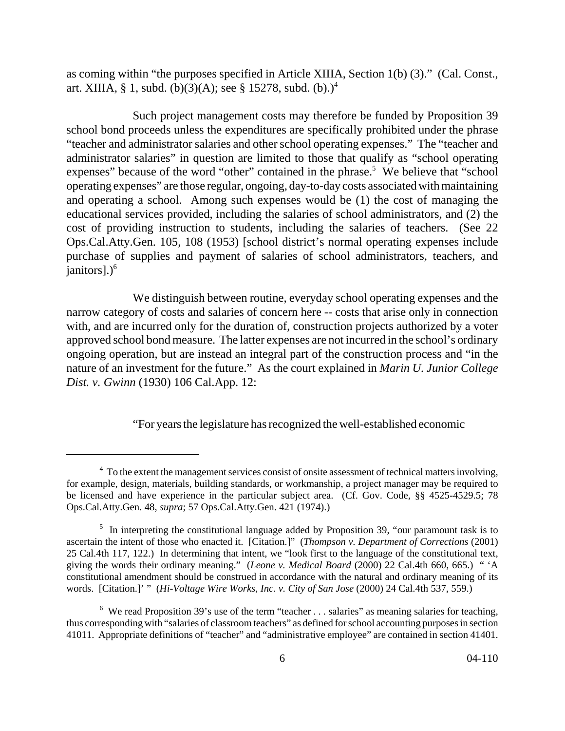as coming within "the purposes specified in Article XIIIA, Section 1(b) (3)." (Cal. Const., art. XIIIA, § 1, subd. (b)(3)(A); see § 15278, subd. (b).)<sup>4</sup>

Such project management costs may therefore be funded by Proposition 39 school bond proceeds unless the expenditures are specifically prohibited under the phrase "teacher and administrator salaries and other school operating expenses." The "teacher and administrator salaries" in question are limited to those that qualify as "school operating expenses" because of the word "other" contained in the phrase.<sup>5</sup> We believe that "school operating expenses" are those regular, ongoing, day-to-day costs associated with maintaining and operating a school. Among such expenses would be (1) the cost of managing the educational services provided, including the salaries of school administrators, and (2) the cost of providing instruction to students, including the salaries of teachers. (See 22 Ops.Cal.Atty.Gen. 105, 108 (1953) [school district's normal operating expenses include purchase of supplies and payment of salaries of school administrators, teachers, and  $janitors$ ].) $<sup>6</sup>$ </sup>

We distinguish between routine, everyday school operating expenses and the narrow category of costs and salaries of concern here -- costs that arise only in connection with, and are incurred only for the duration of, construction projects authorized by a voter approved school bond measure. The latter expenses are not incurred in the school's ordinary ongoing operation, but are instead an integral part of the construction process and "in the nature of an investment for the future." As the court explained in *Marin U. Junior College Dist. v. Gwinn* (1930) 106 Cal.App. 12:

"For years the legislature has recognized the well-established economic

<sup>&</sup>lt;sup>4</sup> To the extent the management services consist of onsite assessment of technical matters involving, for example, design, materials, building standards, or workmanship, a project manager may be required to be licensed and have experience in the particular subject area. (Cf. Gov. Code, §§ 4525-4529.5; 78 Ops.Cal.Atty.Gen. 48, *supra*; 57 Ops.Cal.Atty.Gen. 421 (1974).)

 $<sup>5</sup>$  In interpreting the constitutional language added by Proposition 39, "our paramount task is to</sup> ascertain the intent of those who enacted it. [Citation.]" (*Thompson v. Department of Corrections* (2001) 25 Cal.4th 117, 122.) In determining that intent, we "look first to the language of the constitutional text, giving the words their ordinary meaning." (*Leone v. Medical Board* (2000) 22 Cal.4th 660, 665.) " 'A constitutional amendment should be construed in accordance with the natural and ordinary meaning of its words. [Citation.]' " (*Hi-Voltage Wire Works, Inc. v. City of San Jose* (2000) 24 Cal.4th 537, 559.)

<sup>&</sup>lt;sup>6</sup> We read Proposition 39's use of the term "teacher . . . salaries" as meaning salaries for teaching, thus corresponding with "salaries of classroom teachers" as defined for school accounting purposes in section 41011. Appropriate definitions of "teacher" and "administrative employee" are contained in section 41401.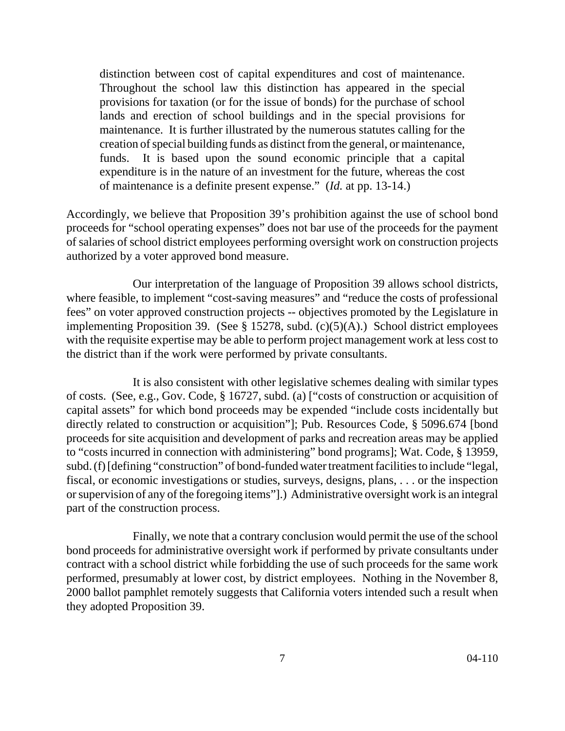distinction between cost of capital expenditures and cost of maintenance. Throughout the school law this distinction has appeared in the special provisions for taxation (or for the issue of bonds) for the purchase of school lands and erection of school buildings and in the special provisions for maintenance. It is further illustrated by the numerous statutes calling for the creation of special building funds as distinct from the general, or maintenance, funds. It is based upon the sound economic principle that a capital expenditure is in the nature of an investment for the future, whereas the cost of maintenance is a definite present expense." (*Id.* at pp. 13-14.)

Accordingly, we believe that Proposition 39's prohibition against the use of school bond proceeds for "school operating expenses" does not bar use of the proceeds for the payment of salaries of school district employees performing oversight work on construction projects authorized by a voter approved bond measure.

Our interpretation of the language of Proposition 39 allows school districts, where feasible, to implement "cost-saving measures" and "reduce the costs of professional fees" on voter approved construction projects -- objectives promoted by the Legislature in implementing Proposition 39. (See  $\S$  15278, subd. (c)(5)(A).) School district employees with the requisite expertise may be able to perform project management work at less cost to the district than if the work were performed by private consultants.

It is also consistent with other legislative schemes dealing with similar types of costs. (See, e.g., Gov. Code, § 16727, subd. (a) ["costs of construction or acquisition of capital assets" for which bond proceeds may be expended "include costs incidentally but directly related to construction or acquisition"]; Pub. Resources Code, § 5096.674 [bond proceeds for site acquisition and development of parks and recreation areas may be applied to "costs incurred in connection with administering" bond programs]; Wat. Code, § 13959, subd. (f) [defining "construction" of bond-funded water treatment facilities to include "legal, fiscal, or economic investigations or studies, surveys, designs, plans, . . . or the inspection or supervision of any of the foregoing items"].) Administrative oversight work is an integral part of the construction process.

Finally, we note that a contrary conclusion would permit the use of the school bond proceeds for administrative oversight work if performed by private consultants under contract with a school district while forbidding the use of such proceeds for the same work performed, presumably at lower cost, by district employees. Nothing in the November 8, 2000 ballot pamphlet remotely suggests that California voters intended such a result when they adopted Proposition 39.